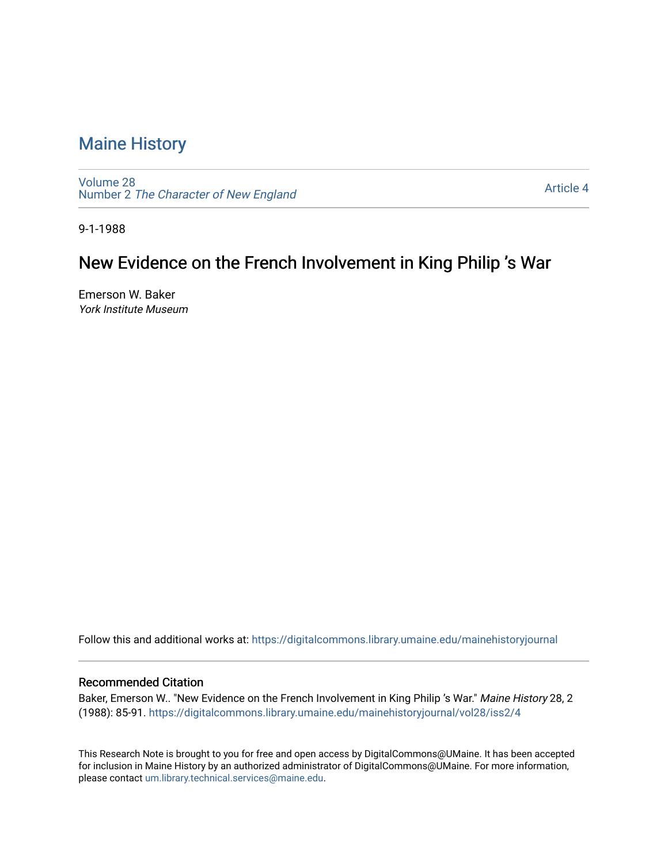# [Maine History](https://digitalcommons.library.umaine.edu/mainehistoryjournal)

[Volume 28](https://digitalcommons.library.umaine.edu/mainehistoryjournal/vol28) Number 2 [The Character of New England](https://digitalcommons.library.umaine.edu/mainehistoryjournal/vol28/iss2)

[Article 4](https://digitalcommons.library.umaine.edu/mainehistoryjournal/vol28/iss2/4) 

9-1-1988

# New Evidence on the French Involvement in King Philip 's War

Emerson W. Baker York Institute Museum

Follow this and additional works at: [https://digitalcommons.library.umaine.edu/mainehistoryjournal](https://digitalcommons.library.umaine.edu/mainehistoryjournal?utm_source=digitalcommons.library.umaine.edu%2Fmainehistoryjournal%2Fvol28%2Fiss2%2F4&utm_medium=PDF&utm_campaign=PDFCoverPages) 

### Recommended Citation

Baker, Emerson W.. "New Evidence on the French Involvement in King Philip 's War." Maine History 28, 2 (1988): 85-91. [https://digitalcommons.library.umaine.edu/mainehistoryjournal/vol28/iss2/4](https://digitalcommons.library.umaine.edu/mainehistoryjournal/vol28/iss2/4?utm_source=digitalcommons.library.umaine.edu%2Fmainehistoryjournal%2Fvol28%2Fiss2%2F4&utm_medium=PDF&utm_campaign=PDFCoverPages) 

This Research Note is brought to you for free and open access by DigitalCommons@UMaine. It has been accepted for inclusion in Maine History by an authorized administrator of DigitalCommons@UMaine. For more information, please contact [um.library.technical.services@maine.edu.](mailto:um.library.technical.services@maine.edu)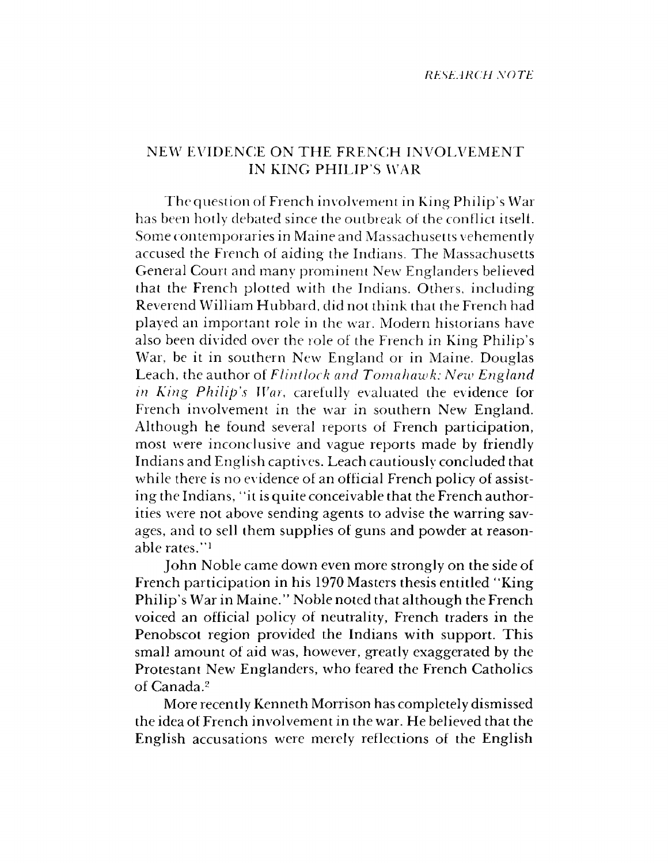## NEW EVIDENCE ON THE FRENCH INVOLVEMENT IN KING PHILIP'S WAR

The question of French involvement in King Philip's War has been hotly debated since the outbreak of the conflict itselt. Some contemporaries in Maine and Massachusetts vehemently accused the French of aiding the Indians. The Massachusetts General Court and many prominent New Englanders believed that the French plotted with the Indians. Others, including Reverend William Hubbard, did not think that the French had played an im portant role in the war. Modern historians have also been divided over the role of the French in King Philip's War, be it in southern New England or in Maine. Douglas Leach, the author of *Flintlock and Tomahawk: New Englarid in King Philip's War,* carefully evaluated the evidence for French involvement in the war in southern New England. Although he found several reports of French participation, most were inconclusive and vague reports made by friendly Indians and English captives. Leach cautiously concluded that while there is no evidence of an official French policy of assisting the Indians, "it is quite conceivable that the French authorities were not above sending agents to advise the warring savages, and to sell them supplies of guns and powder at reasonable rates.''1

John Noble came down even more strongly on the side of French participation in his 1970 Masters thesis entitled "King Philip's War in Maine." Noble noted that although the French voiced an official policy of neutrality, French traders in the Penobscot region provided the Indians with support. This small amount of aid was, however, greatly exaggerated by the Protestant New Englanders, who feared the French Catholics of Canada.2

More recently Kenneth Morrison has completely dismissed the idea of French involvement in the war. He believed that the English accusations were merely reflections of the English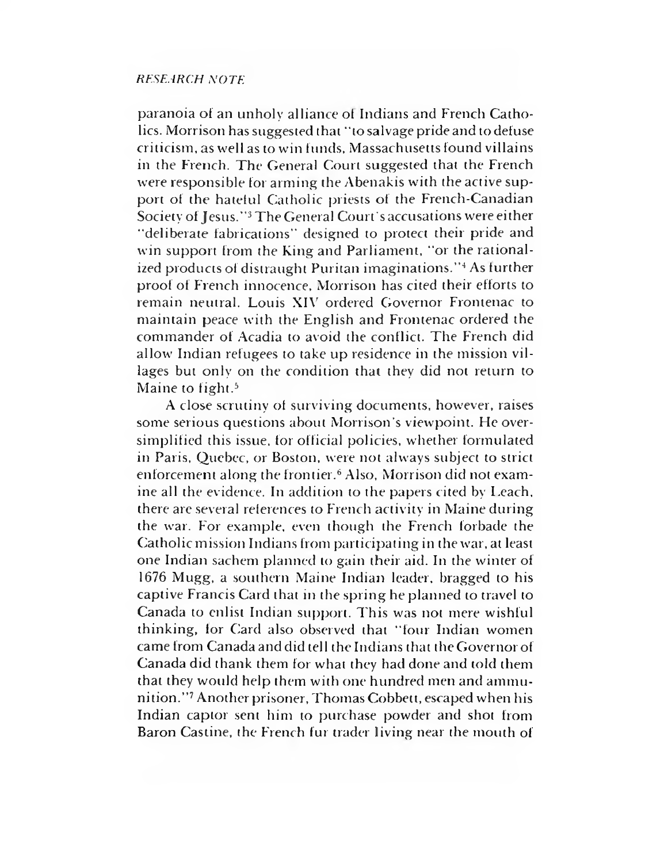### *RESEARCH NOTE*

paranoia of an unholy alliance ot Indians and French Catholics. Morrison has suggested that "tosalvage pride and todefuse criticism, as well as to win funds, Massachusetts found villains in the French. The General Court suggested that the French were responsible for arming the Abenakis with the active support of the hateful Catholic priests of the French-Canadian Society of Jesus."3 The General Court's accusations were either "deliberate fabrications" designed to protect their pride and win support from the King and Parliament, "or the rationalized products of distraught Puritan imaginations."<sup>4</sup> As further proof of French innocence, Morrison has cited their efforts to remain neutral. Louis XIV ordered Governor Frontenac to maintain peace with the English and Frontenac ordered the com mander of Acadia to avoid the conflict. The French did allow Indian refugees to take up residence in the mission villages but only on the condition that they did not return to Maine to fight.<sup>5</sup>

A close scrutiny of surviving documents, however, raises some serious questions about Morrison's viewpoint. He oversimplified this issue, for official policies, whether formulated in Paris, Quebec, or Boston, were not always subject to strict enforcement along the frontier.6 Also, Morrison did not examine all the evidence. In addition to the papers cited by Leach, there are several reierences to French activity in Maine during the war. For example, even though the French forbade the Catholic mission Indians from participating in the war, at least one Indian sachem planned to gain their aid. In the winter of 1676 Mugg, a southern Maine Indian leader, bragged to his captive Francis Card that in the spring he planned to travel to Canada to enlist Indian support. This was not mere wishful thinking, lor Card also observed that "four Indian women came from Canada and did tell the Indians that the Governor of Canada did thank them for what they had done and told them that they would help them with one hundred men and ammunition."7 Another prisoner, Thomas Cobbett, escaped when his Indian captor sent him to purchase powder and shot from Baron Castine, the French fur trader living near the mouth of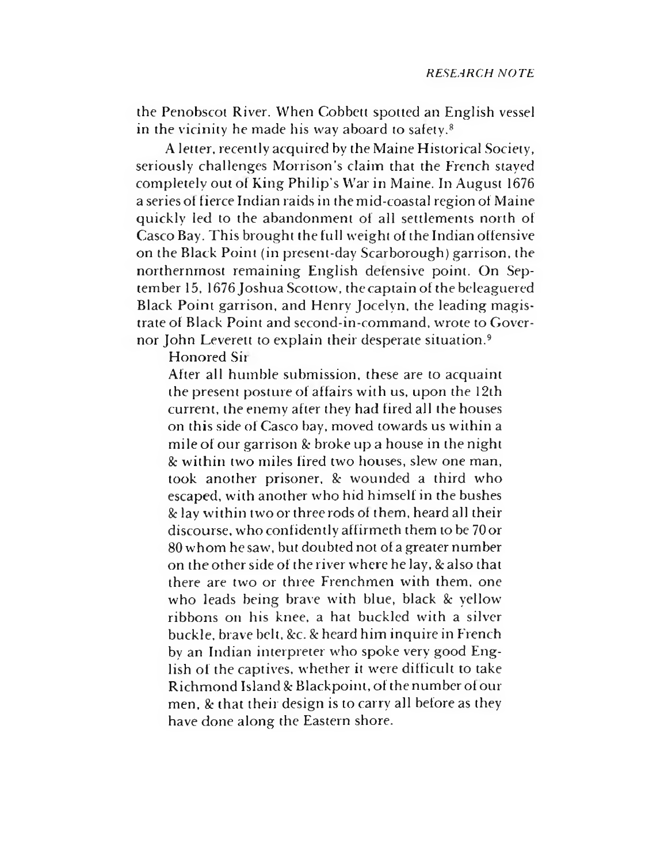the Penobscot River. When Cobbett spotted an English vessel in the vicinity he made his way aboard to safety.8

A letter, recently acquired by the Maine Historical Society, seriously challenges Morrison's claim that the French staved completely out of King Philip's War in Maine. In August 1676 a series of fierce Indian raids in the mid-coastal region of Maine quickly led to the abandonment of all settlements north of Casco Bay. This brought the full weight of the Indian offensive on the Black Point (in present-day Scarborough) garrison, the northernmost remaining English defensive point. On September 15, 1676 Joshua Scottow, the captain of the beleaguered Black Point garrison, and Henry Jocelyn, the leading magistrate of Black Point and second-in-command, wrote to Governor John Leverett to explain their desperate situation.<sup>9</sup>

Honored Sit

After all humble submission, these are to acquaint the present posture of affairs with us, upon the 12th current, the enemy after they had fired all the houses on this side of Casco bay, moved towards us within a mile of our garrison & broke up a house in the night *Sc* w ithin two miles fired two houses, slew one man, took another prisoner. *Sc* wounded a third who escaped, with another who hid himself in the bushes *Sc* lay w ithin two or three rods of them, heard all their discourse, who confidently affirmeth them to be 70 or 80 whom he saw, but doubted not of a greater number on the other side of the river where he lay, *Sc* also that there are two or three Frenchmen with them, one who leads being brave with blue, black  $\&$  yellow ribbons on his knee, a hat buckled with a silver buckle, brave belt, &c. & heard him inquire in French by an Indian interpreter who spoke very good English of the captives, whether it were difficult to take Richmond Island *Sc* Blackpoint, of the number of our men. & that their design is to carry all before as they have done along the Eastern shore.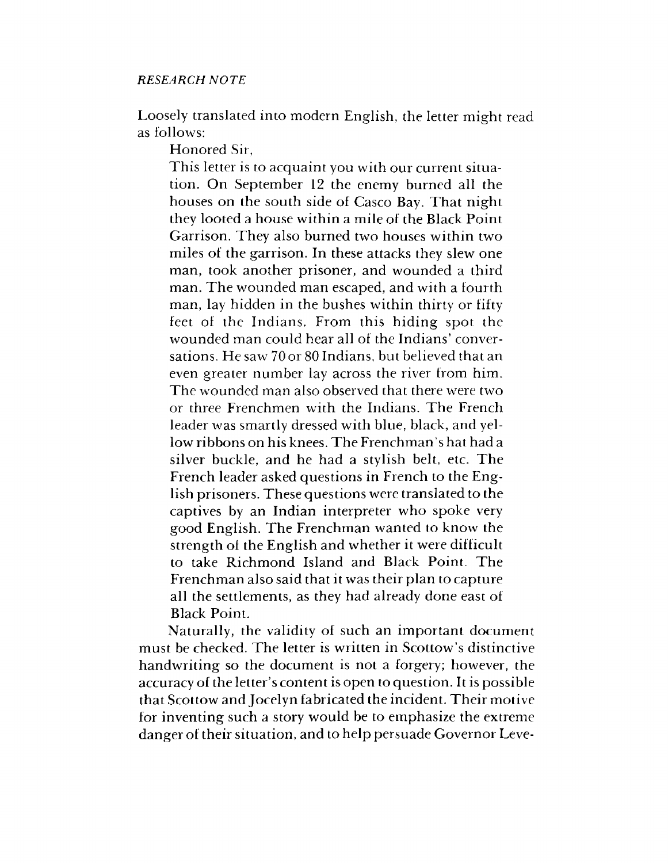Loosely translated into modern English, the letter might read as follows:

Honored Sir,

This letter is to acquaint you with our current situation. On September 12 the enemy burned all the houses on the south side of Casco Bay. That night they looted a house within a mile of the Black Point Garrison. They also burned two houses within two miles of the garrison. In these attacks they slew one man, took another prisoner, and wounded a third man. The wounded man escaped, and with a fourth man, lay hidden in the bushes within thirty or fifty feet of the Indians. From this hiding spot the wounded man could hear all of the Indians' conversations. He saw 70 or 80 Indians, but believed that an even greater number lay across the river from him. The wounded man also observed that there were two or three Frenchmen with the Indians. The French leader was smartly dressed with blue, black, and yellow ribbons on his knees. The Frenchman's hat had a silver buckle, and he had a stylish belt, etc. The French leader asked questions in French to the English prisoners. These questions were translated to the captives by an Indian interpreter who spoke very good English. The Frenchman wanted to know the strength of the English and whether it were difficult to take Richmond Island and Black Point. The Frenchman also said that it was their plan to capture all the settlements, as they had already done east of Black Point.

Naturally, the validity of such an important document must be checked. The letter is written in Scottow's distinctive handwriting so the document is not a forgery; however, the accuracy of the letter's content is open to question. It is possible that Scottow and Jocelyn fabricated the incident. Their motive for inventing such a story would be to emphasize the extreme danger of their situation, and to help persuade Governor Leve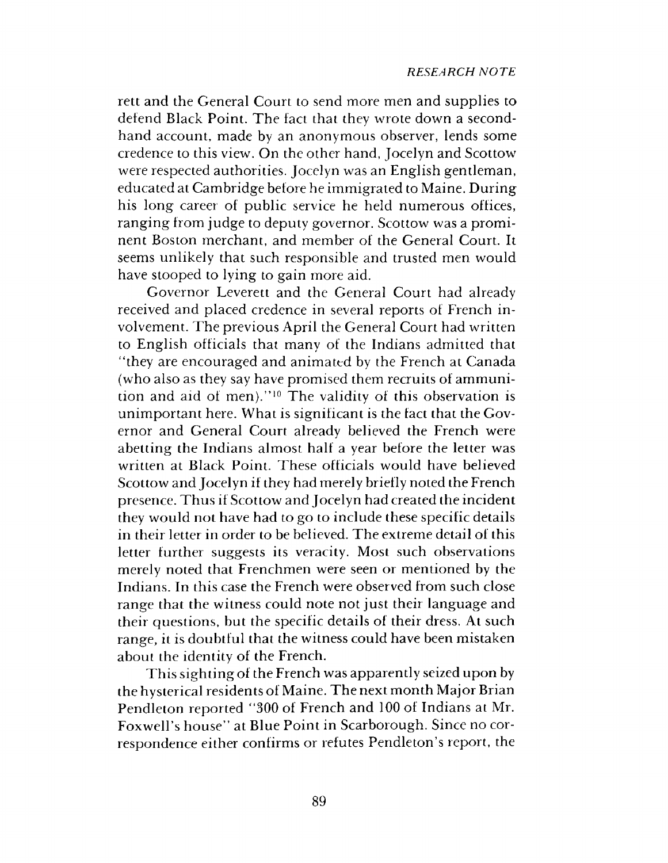rett and the General Court to send more men and supplies to defend Black Point. The fact that they wrote down a secondhand account, made by an anonymous observer, lends some credence to this view. On the other hand, Jocelyn and Scottow were respected authorities. Jocelyn was an English gentleman, educated at Cambridge before he immigrated to Maine. During his long career of public service he held numerous offices, ranging from judge to deputy governor. Scottow was a prominent Boston merchant, and member of the General Court. It seems unlikely that such responsible and trusted men would have stooped to lying to gain more aid.

Governor Leverett and the General Court had already received and placed credence in several reports of French involvement. The previous April the General Court had written to English officials that many of the Indians admitted that "they are encouraged and anim ated by the French at Canada (who also as they say have promised them recruits of ammunition and aid of men)."<sup>10</sup> The validity of this observation is unim portant here. What is significant is the fact that the Governor and General Court already believed the French were abetting the Indians almost half a year before the letter was written at Black Point. These officials would have believed Scottow and Jocelyn if they had merely briefly noted the French presence. Thus if Scottow and Jocelyn had created the incident they would not have had to go to include these specific details in their letter in order to be believed. The extreme detail of this letter further suggests its veracity. Most such observations merely noted that Frenchmen were seen or mentioned by the Indians. In this case the French were observed from such close range that the witness could note not just their language and their questions, but the specific details of their dress. At such range, it is doubtful that the witness could have been mistaken about the identity of the French.

This sighting of the French was apparently seized upon by the hysterical residents of Maine. The next month Major Brian Pendleton reported "300 of French and 100 of Indians at Mr. Foxwell's house" at Blue Point in Scarborough. Since no correspondence either confirms or refutes Pendleton's report, the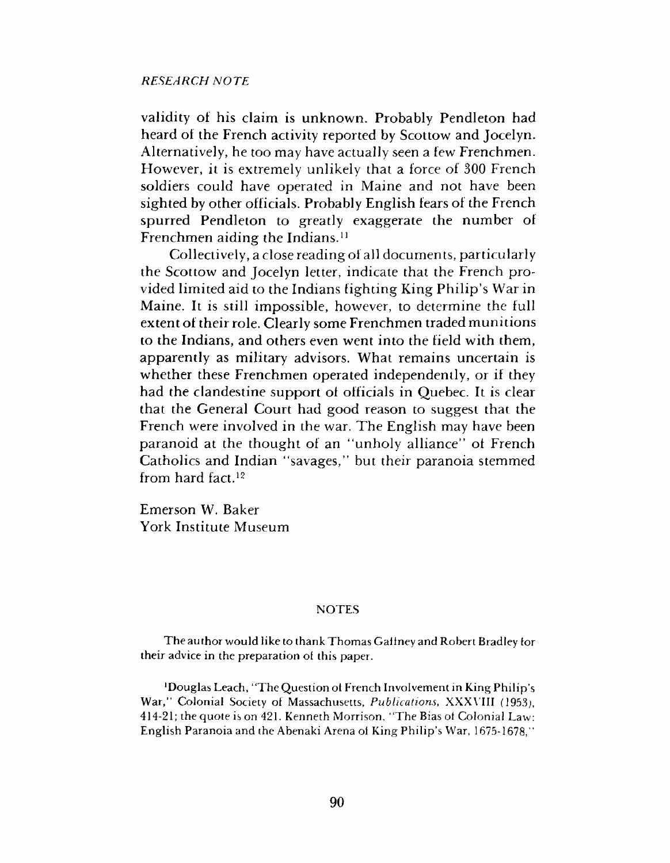### *RESEARCH NOTE*

validity of his claim is unknown. Probably Pendleton had heard of the French activity reported by Scottow and Jocelyn. Alternatively, he too may have actually seen a few Frenchmen. However, it is extremely unlikely that a force of 300 French soldiers could have operated in Maine and not have been sighted by other officials. Probably English fears of the French spurred Pendleton to greatly exaggerate the number of Frenchmen aiding the Indians.<sup>11</sup>

Collectively, a close reading of all documents, particularly the Scottow and Jocelyn letter, indicate that the French provided limited aid to the Indians fighting King Philip's War in Maine. It is still impossible, however, to determine the full extent of their role. Clearly some Frenchmen traded munitions to the Indians, and others even went into the field with them, apparently as military advisors. What remains uncertain is whether these Frenchmen operated independently, or if they had the clandestine support ol officials in Quebec. It is clear that the General Court had good reason to suggest that the French were involved in the war. The English may have been paranoid at the thought of an "unholy alliance" ot French Catholics and Indian "savages," but their paranoia stemmed from hard fact.12

Emerson W. Baker York Institute Museum

#### **NOTES**

The author would like to thank Thomas Gallney and Robert Bradley tor their advice in the preparation ot this paper.

'Douglas Leach, "The Question ot French Involvement in King Philip's War," Colonial Society of Massachusetts, *Publications,* XXXVIII (1953), 414-21; the quote is on 421. Kenneth Morrison, "The Bias ot Colonial Law: English Paranoia and the Abenaki Arena ot King Philip's War, 1675-1678,"